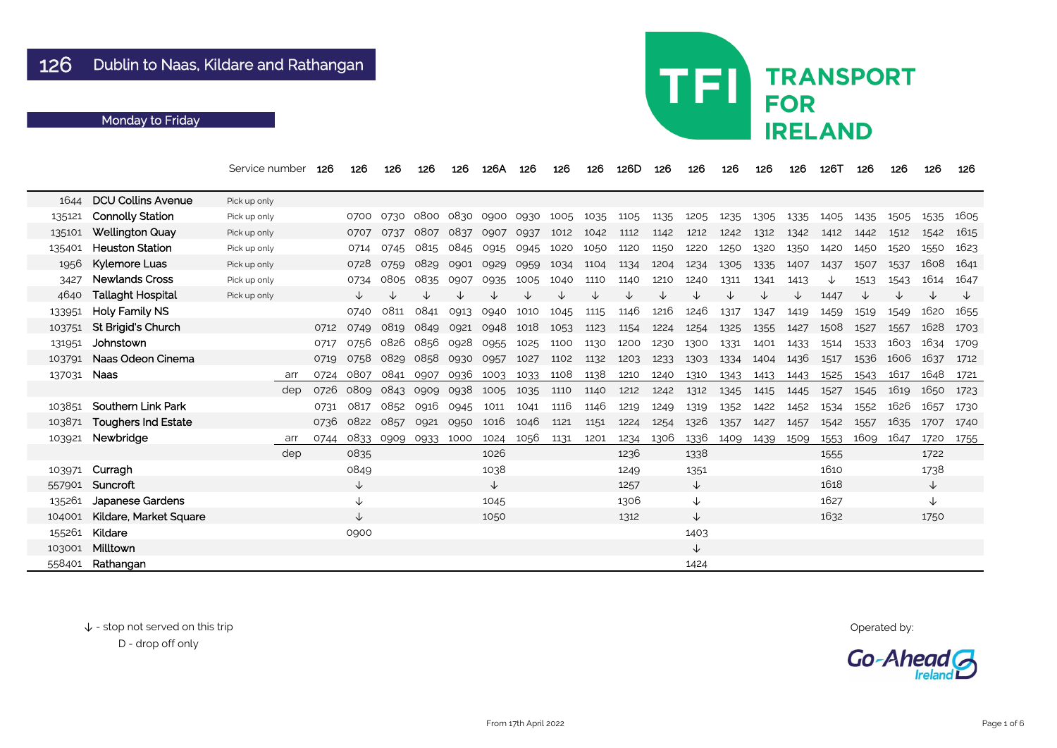|             |                               | Service number | 126  | 126          | 126  | 126  | 126  | 126A           | 126  | 126  | 126  | 126D | 126  | 126          | 126  | 126  | 126  | 126T | 126  | 126  | 126  | 126  |
|-------------|-------------------------------|----------------|------|--------------|------|------|------|----------------|------|------|------|------|------|--------------|------|------|------|------|------|------|------|------|
| 1644        | <b>DCU Collins Avenue</b>     | Pick up only   |      |              |      |      |      |                |      |      |      |      |      |              |      |      |      |      |      |      |      |      |
| 135121      | <b>Connolly Station</b>       | Pick up only   |      | 0700         | 0730 |      |      | 0800 0830 0900 | 0930 | 1005 | 1035 | 1105 | 1135 | 1205         | 1235 | 1305 | 1335 | 1405 | 1435 | 1505 | 1535 | 1605 |
| 135101      | <b>Wellington Quay</b>        | Pick up only   |      | 0707         | 0737 | 0807 | 0837 | 0907           | 0937 | 1012 | 1042 | 1112 | 1142 | 1212         | 1242 | 1312 | 1342 | 1412 | 1442 | 1512 | 1542 | 1615 |
| 135401      | <b>Heuston Station</b>        | Pick up only   |      | 0714         | 0745 | 0815 | 0845 | 0915           | 0945 | 1020 | 1050 | 1120 | 1150 | 1220         | 1250 | 1320 | 1350 | 1420 | 1450 | 1520 | 1550 | 1623 |
| 1956        | Kylemore Luas                 | Pick up only   |      | 0728         | 0759 | 0829 | 0901 | 0929           | 0959 | 1034 | 1104 | 1134 | 1204 | 1234         | 1305 | 1335 | 1407 | 1437 | 1507 | 1537 | 1608 | 1641 |
| 3427        | <b>Newlands Cross</b>         | Pick up only   |      | 0734         | 0805 | 0835 | 0907 | 0935           | 1005 | 1040 | 1110 | 1140 | 1210 | 1240         | 1311 | 1341 | 1413 | ∿    | 1513 | 1543 | 1614 | 1647 |
| 4640        | <b>Tallaght Hospital</b>      | Pick up only   |      | ↓            |      |      |      |                |      |      |      | ↓    |      | ↓            |      |      |      | 1447 |      |      |      |      |
| 133951      | <b>Holy Family NS</b>         |                |      | 0740         | 0811 | 0841 | 0913 | 0940           | 1010 | 1045 | 1115 | 1146 | 1216 | 1246         | 1317 | 1347 | 1419 | 1459 | 1519 | 1549 | 1620 | 1655 |
| 103751      | <b>St Brigid's Church</b>     |                | 0712 | 0749         | 0819 | 0849 | 0921 | 0948           | 1018 | 1053 | 1123 | 1154 | 1224 | 1254         | 1325 | 1355 | 1427 | 1508 | 1527 | 1557 | 1628 | 1703 |
| 131951      | Johnstown                     |                | 0717 | 0756         | 0826 | 0856 | 0928 | 0955           | 1025 | 1100 | 1130 | 1200 | 1230 | 1300         | 1331 | 1401 | 1433 | 1514 | 1533 | 1603 | 1634 | 1709 |
| 103791      | Naas Odeon Cinema             |                | 0719 | 0758         | 0829 | 0858 | 0930 | 0957           | 1027 | 1102 | 1132 | 1203 | 1233 | 1303         | 1334 | 1404 | 1436 | 1517 | 1536 | 1606 | 1637 | 1712 |
| 137031 Naas |                               | arr            | 0724 | 0807         | 0841 | 0907 | 0936 | 1003           | 1033 | 1108 | 1138 | 1210 | 1240 | 1310         | 1343 | 1413 | 1443 | 1525 | 1543 | 1617 | 1648 | 1721 |
|             |                               | dep            | 0726 | 0809         | 0843 | 0909 | 0938 | 1005           | 1035 | 1110 | 1140 | 1212 | 1242 | 1312         | 1345 | 1415 | 1445 | 1527 | 1545 | 1619 | 1650 | 1723 |
|             | 103851 Southern Link Park     |                | 0731 | 0817         | 0852 | 0916 | 0945 | 1011           | 1041 | 1116 | 1146 | 1219 | 1249 | 1319         | 1352 | 1422 | 1452 | 1534 | 1552 | 1626 | 1657 | 1730 |
| 103871      | <b>Toughers Ind Estate</b>    |                | 0736 | 0822         | 0857 | 0921 | 0950 | 1016           | 1046 | 1121 | 1151 | 1224 | 1254 | 1326         | 1357 | 1427 | 1457 | 1542 | 1557 | 1635 | 1707 | 1740 |
| 103921      | Newbridge                     | arr            | 0744 | 0833         | 0909 | 0933 | 1000 | 1024           | 1056 | 1131 | 1201 | 1234 | 1306 | 1336         | 1409 | 1439 | 1509 | 1553 | 1609 | 1647 | 1720 | 1755 |
|             |                               | dep            |      | 0835         |      |      |      | 1026           |      |      |      | 1236 |      | 1338         |      |      |      | 1555 |      |      | 1722 |      |
|             | 103971 Curragh                |                |      | 0849         |      |      |      | 1038           |      |      |      | 1249 |      | 1351         |      |      |      | 1610 |      |      | 1738 |      |
|             | 557901 Suncroft               |                |      | ↓            |      |      |      | V              |      |      |      | 1257 |      | $\downarrow$ |      |      |      | 1618 |      |      | ↓    |      |
|             | 135261 Japanese Gardens       |                |      |              |      |      |      | 1045           |      |      |      | 1306 |      | ↓            |      |      |      | 1627 |      |      |      |      |
|             | 104001 Kildare, Market Square |                |      | $\downarrow$ |      |      |      | 1050           |      |      |      | 1312 |      | $\downarrow$ |      |      |      | 1632 |      |      | 1750 |      |
|             | 155261 Kildare                |                |      | 0900         |      |      |      |                |      |      |      |      |      | 1403         |      |      |      |      |      |      |      |      |
|             | 103001 Milltown               |                |      |              |      |      |      |                |      |      |      |      |      | $\downarrow$ |      |      |      |      |      |      |      |      |
|             | 558401 Rathangan              |                |      |              |      |      |      |                |      |      |      |      |      | 1424         |      |      |      |      |      |      |      |      |

↓ - stop not served on this trip Operated by: D - drop off only

# **TRANSPORT FOR IRELAND**

TFI

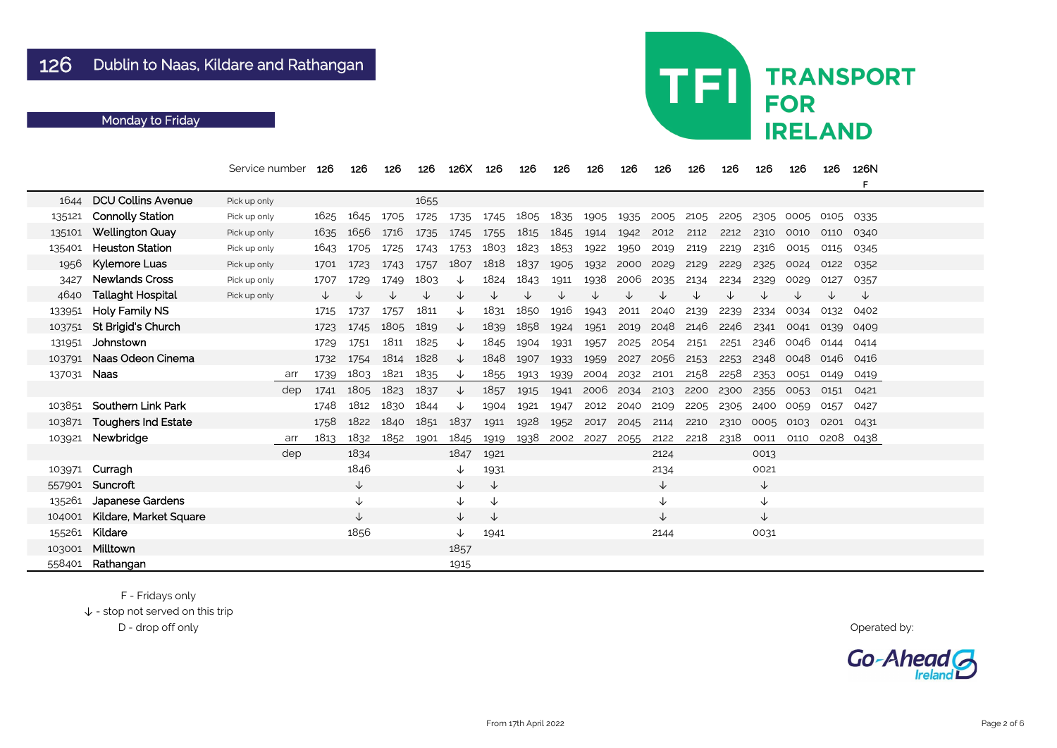|        |                               | Service number |     | 126  | 126  | 126  | 126  | 126X         | 126  | 126  | 126  | 126       | 126  | 126  | 126  | 126  | 126          | 126  | 126       | 126N<br>F |  |
|--------|-------------------------------|----------------|-----|------|------|------|------|--------------|------|------|------|-----------|------|------|------|------|--------------|------|-----------|-----------|--|
| 1644   | <b>DCU Collins Avenue</b>     | Pick up only   |     |      |      |      | 1655 |              |      |      |      |           |      |      |      |      |              |      |           |           |  |
| 135121 | <b>Connolly Station</b>       | Pick up only   |     | 1625 | 1645 | 1705 | 1725 | 1735         | 1745 | 1805 | 1835 | 1905      | 1935 | 2005 | 2105 | 2205 | 2305         | 0005 | 0105      | - 0335    |  |
| 135101 | <b>Wellington Quay</b>        | Pick up only   |     | 1635 | 1656 | 1716 | 1735 | 1745         | 1755 | 1815 | 1845 | 1914      | 1942 | 2012 | 2112 | 2212 | 2310         | 0010 | 0110      | 0340      |  |
| 135401 | <b>Heuston Station</b>        | Pick up only   |     | 1643 | 1705 | 1725 | 1743 | 1753         | 1803 | 1823 | 1853 | 1922      | 1950 | 2019 | 2119 | 2219 | 2316         | 0015 | 0115      | 0345      |  |
| 1956   | <b>Kylemore Luas</b>          | Pick up only   |     | 1701 | 1723 | 1743 | 1757 | 1807         | 1818 | 1837 | 1905 | 1932      | 2000 | 2029 | 2129 | 2229 | 2325         | 0024 | 0122      | 0352      |  |
| 3427   | <b>Newlands Cross</b>         | Pick up only   |     | 1707 | 1729 | 1749 | 1803 |              | 1824 | 1843 | 1911 | 1938      | 2006 | 2035 | 2134 | 2234 | 2329         | 0029 | 0127      | 0357      |  |
| 4640   | <b>Tallaght Hospital</b>      | Pick up only   |     |      |      |      | √    | ◡            |      | ◡    |      |           |      |      |      |      |              |      |           | ↓         |  |
| 133951 | <b>Holy Family NS</b>         |                |     | 1715 | 1737 | 1757 | 1811 | V            | 1831 | 1850 | 1916 | 1943      | 2011 | 2040 | 2139 | 2239 | 2334         | 0034 | 0132      | 0402      |  |
| 103751 | St Brigid's Church            |                |     | 1723 | 1745 | 1805 | 1819 | ◡            | 1839 | 1858 | 1924 | 1951      | 2019 | 2048 | 2146 | 2246 | 2341         | 0041 | 0139      | 0409      |  |
| 131951 | Johnstown                     |                |     | 1729 | 1751 | 1811 | 1825 | ◡            | 1845 | 1904 | 1931 | 1957      | 2025 | 2054 | 2151 | 2251 | 2346         | 0046 | 0144      | 0414      |  |
| 103791 | Naas Odeon Cinema             |                |     | 1732 | 1754 | 1814 | 1828 | ∿            | 1848 | 1907 | 1933 | 1959      | 2027 | 2056 | 2153 | 2253 | 2348         | 0048 | 0146      | 0416      |  |
| 137031 | <b>Naas</b>                   |                | arr | 1739 | 1803 | 1821 | 1835 | ∿            | 1855 | 1913 | 1939 | 2004      | 2032 | 2101 | 2158 | 2258 | 2353         | 0051 | 0149      | 0419      |  |
|        |                               |                | dep | 1741 | 1805 | 1823 | 1837 |              | 1857 | 1915 | 1941 | 2006 2034 |      | 2103 | 2200 | 2300 | 2355         | 0053 | 0151      | 0421      |  |
| 103851 | <b>Southern Link Park</b>     |                |     | 1748 | 1812 | 1830 | 1844 |              | 1904 | 1921 | 1947 | 2012      | 2040 | 2109 | 2205 | 2305 | 2400         | 0059 | 0157      | 0427      |  |
| 103871 | <b>Toughers Ind Estate</b>    |                |     | 1758 | 1822 | 1840 | 1851 | 1837         | 1911 | 1928 | 1952 | 2017      | 2045 | 2114 | 2210 | 2310 | 0005         | 0103 | 0201      | 0431      |  |
| 103921 | Newbridge                     |                | arr | 1813 | 1832 | 1852 | 1901 | 1845         | 1919 | 1938 | 2002 | 2027      | 2055 | 2122 | 2218 | 2318 | 0011         | 0110 | 0208 0438 |           |  |
|        |                               |                | dep |      | 1834 |      |      | 1847         | 1921 |      |      |           |      | 2124 |      |      | 0013         |      |           |           |  |
| 103971 | Curragh                       |                |     |      | 1846 |      |      | V            | 1931 |      |      |           |      | 2134 |      |      | 0021         |      |           |           |  |
| 557901 | Suncroft                      |                |     |      | ↓    |      |      | $\downarrow$ | ↓    |      |      |           |      | √    |      |      | $\downarrow$ |      |           |           |  |
| 135261 | <b>Japanese Gardens</b>       |                |     |      |      |      |      |              | ↓    |      |      |           |      |      |      |      | $\downarrow$ |      |           |           |  |
| 104001 | <b>Kildare, Market Square</b> |                |     |      | ↓    |      |      | ↓            | ↓    |      |      |           |      | ↓    |      |      | $\downarrow$ |      |           |           |  |
| 155261 | Kildare                       |                |     |      | 1856 |      |      | ↓            | 1941 |      |      |           |      | 2144 |      |      | 0031         |      |           |           |  |
| 103001 | Milltown                      |                |     |      |      |      |      | 1857         |      |      |      |           |      |      |      |      |              |      |           |           |  |
| 558401 | Rathangan                     |                |     |      |      |      |      | 1915         |      |      |      |           |      |      |      |      |              |      |           |           |  |

F - Fridays only

 $\downarrow$  - stop not served on this trip

D - drop off only Operated by:

## TFI **TRANSPORT FOR IRELAND**

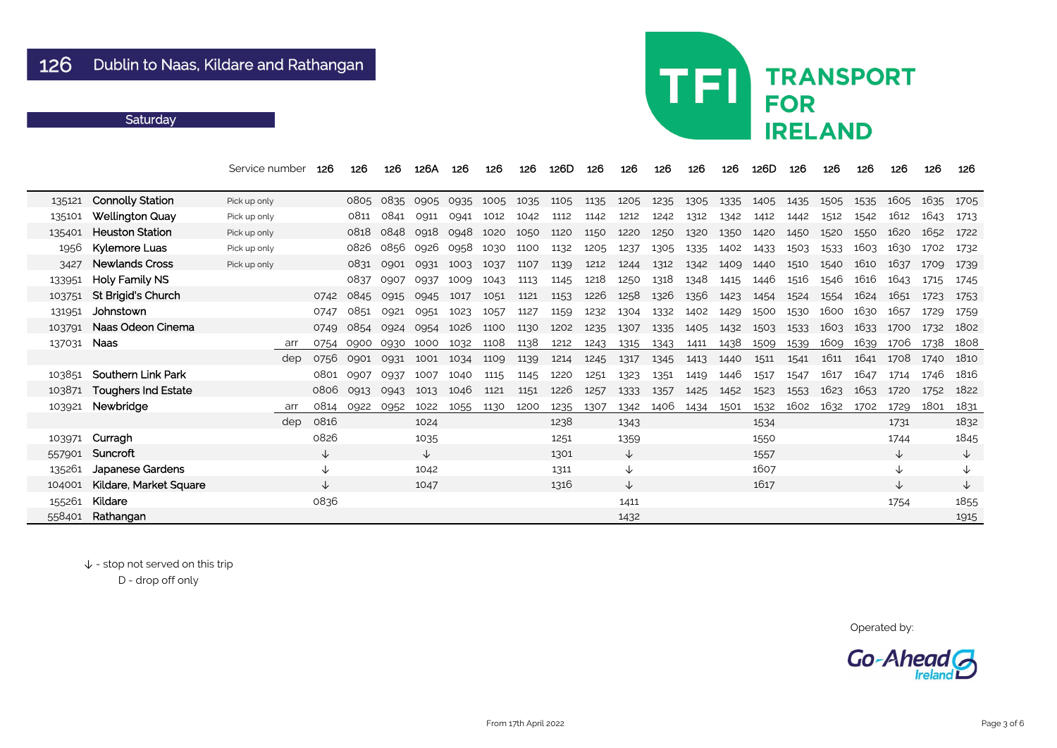|        |                            | Service number | 126          | 126  | 126  | 126A | 126  | 126  | 126  | 126D | 126  | 126          | 126  | 126  | 126           | 126D | 126  | 126  | 126  | 126          | 126  | 126          |
|--------|----------------------------|----------------|--------------|------|------|------|------|------|------|------|------|--------------|------|------|---------------|------|------|------|------|--------------|------|--------------|
| 135121 | <b>Connolly Station</b>    | Pick up only   |              | 0805 | 0835 | 0905 | 0935 | 1005 | 1035 | 1105 | 1135 | 1205         | 1235 | 1305 | 1335          | 1405 | 1435 | 1505 | 1535 | 1605         | 1635 | 1705         |
| 135101 | <b>Wellington Quay</b>     | Pick up only   |              | 0811 | 0841 | 0911 | 0941 | 1012 | 1042 | 1112 | 1142 | 1212         | 1242 | 1312 | 1342          | 1412 | 1442 | 1512 | 1542 | 1612         | 1643 | 1713         |
| 135401 | <b>Heuston Station</b>     | Pick up only   |              | 0818 | 0848 | 0918 | 0948 | 1020 | 1050 | 1120 | 1150 | 1220         | 1250 | 1320 | 1350          | 1420 | 1450 | 1520 | 1550 | 1620         | 1652 | 1722         |
| 1956   | <b>Kylemore Luas</b>       | Pick up only   |              | 0826 | 0856 | 0926 | 0958 | 1030 | 1100 | 1132 | 1205 | 1237         | 1305 | 1335 | 1402          | 1433 | 1503 | 1533 | 1603 | 1630         | 1702 | 1732         |
| 3427   | <b>Newlands Cross</b>      | Pick up only   |              | 0831 | 0901 | 0931 | 1003 | 1037 | 1107 | 1139 | 1212 | 1244         | 1312 | 1342 | 1409          | 1440 | 1510 | 1540 | 1610 | 1637         | 1709 | 1739         |
| 133951 | <b>Holy Family NS</b>      |                |              | 0837 | 0907 | 0937 | 1009 | 1043 | 1113 | 1145 | 1218 | 1250         | 1318 | 1348 | 1415          | 1446 | 1516 | 1546 | 1616 | 1643         | 1715 | 1745         |
| 103751 | St Brigid's Church         |                | 0742         | 0845 | 0915 | 0945 | 1017 | 1051 | 1121 | 1153 | 1226 | 1258         | 1326 | 1356 | 1423          | 1454 | 1524 | 1554 | 1624 | 1651         | 1723 | 1753         |
| 131951 | Johnstown                  |                | 0747         | 0851 | 0921 | 0951 | 1023 | 1057 | 1127 | 1159 | 1232 | 1304         | 1332 | 1402 | 1429          | 1500 | 1530 | 1600 | 1630 | 1657         | 1729 | 1759         |
| 103791 | Naas Odeon Cinema          |                | 0749         | 0854 | 0924 | 0954 | 1026 | 1100 | 1130 | 1202 | 1235 | 1307         | 1335 | 1405 | 1432          | 1503 | 1533 | 1603 | 1633 | 1700         | 1732 | 1802         |
| 137031 | <b>Naas</b>                | arr            | 0754         | 0900 | 0930 | 1000 | 1032 | 1108 | 1138 | 1212 | 1243 | 1315         | 1343 | 1411 | <u> 143</u> 8 | 1509 | 1539 | 1609 | 1639 | 1706         | 1738 | 1808         |
|        |                            | dep            | 0756         | 0901 | 0931 | 1001 | 1034 | 1109 | 1139 | 1214 | 1245 | 1317         | 1345 | 1413 | 1440          | 1511 | 1541 | 1611 | 1641 | 1708         | 1740 | 1810         |
| 103851 | <b>Southern Link Park</b>  |                | 0801         | 0907 | 0937 | 1007 | 1040 | 1115 | 1145 | 1220 | 1251 | 1323         | 1351 | 1419 | 1446          | 1517 | 1547 | 1617 | 1647 | 1714         | 1746 | 1816         |
| 103871 | <b>Toughers Ind Estate</b> |                | 0806         | 0913 | 0943 | 1013 | 1046 | 1121 | 1151 | 1226 | 1257 | 1333         | 1357 | 1425 | 1452          | 1523 | 1553 | 1623 | 1653 | 1720         | 1752 | 1822         |
| 103921 | Newbridge                  | arr            | 0814         | 0922 | 0952 | 1022 | 1055 | 1130 | 1200 | 1235 | 1307 | 1342         | 1406 | 1434 | 1501          | 1532 | 1602 | 1632 | 1702 | 1729         | 1801 | 1831         |
|        |                            | dep            | 0816         |      |      | 1024 |      |      |      | 1238 |      | 1343         |      |      |               | 1534 |      |      |      | 1731         |      | 1832         |
| 103971 | Curragh                    |                | 0826         |      |      | 1035 |      |      |      | 1251 |      | 1359         |      |      |               | 1550 |      |      |      | 1744         |      | 1845         |
| 557901 | Suncroft                   |                | ↓            |      |      | ↓    |      |      |      | 1301 |      | $\downarrow$ |      |      |               | 1557 |      |      |      | $\downarrow$ |      | $\downarrow$ |
| 135261 | <b>Japanese Gardens</b>    |                | ↓            |      |      | 1042 |      |      |      | 1311 |      | ↓            |      |      |               | 1607 |      |      |      | ↓            |      | ↓            |
| 104001 | Kildare, Market Square     |                | $\downarrow$ |      |      | 1047 |      |      |      | 1316 |      | ↓            |      |      |               | 1617 |      |      |      | ↓            |      | ↓            |
| 155261 | Kildare                    |                | 0836         |      |      |      |      |      |      |      |      | 1411         |      |      |               |      |      |      |      | 1754         |      | 1855         |
| 558401 | Rathangan                  |                |              |      |      |      |      |      |      |      |      | 1432         |      |      |               |      |      |      |      |              |      | 1915         |

 $\downarrow$  - stop not served on this trip

D - drop off only

## TFI **TRANSPORT FOR IRELAND**

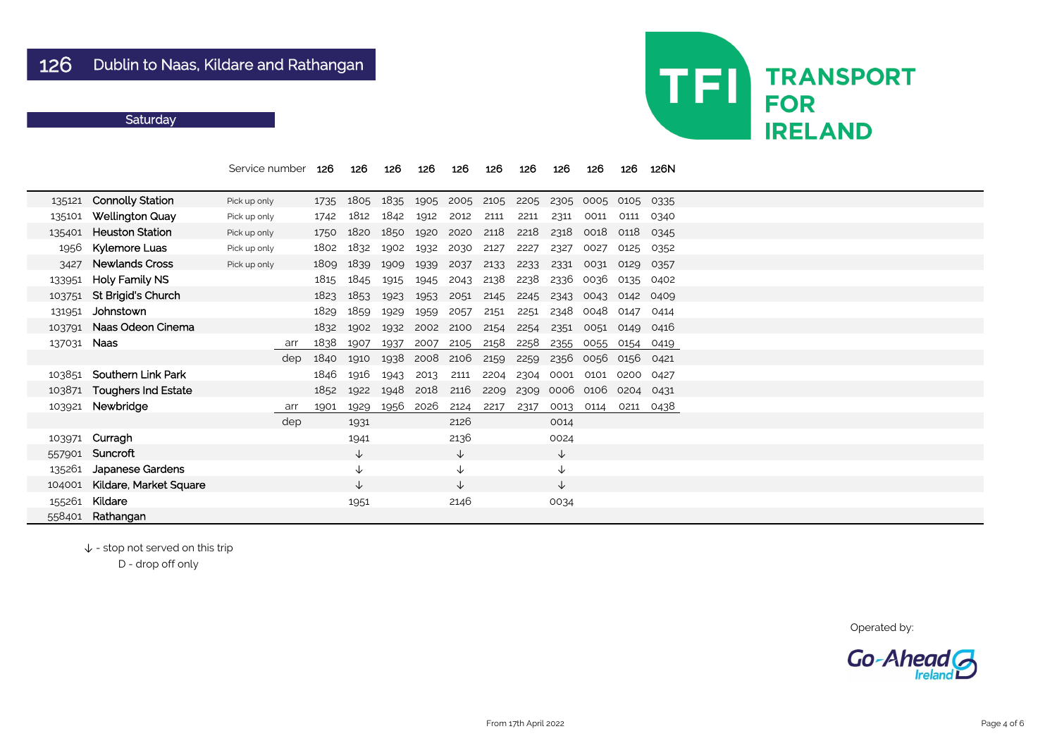|        |                               | Service number |     | 126  | 126          | 126  | 126  | 126          | 126  | 126  | 126          | 126  | 126  | 126N |
|--------|-------------------------------|----------------|-----|------|--------------|------|------|--------------|------|------|--------------|------|------|------|
| 135121 | <b>Connolly Station</b>       | Pick up only   |     | 1735 | 1805         | 1835 | 1905 | 2005         | 2105 | 2205 | 2305         | 0005 | 0105 | 0335 |
| 135101 | <b>Wellington Quay</b>        | Pick up only   |     | 1742 | 1812         | 1842 | 1912 | 2012         | 2111 | 2211 | 2311         | 0011 | 0111 | 0340 |
| 135401 | <b>Heuston Station</b>        | Pick up only   |     | 1750 | 1820         | 1850 | 1920 | 2020         | 2118 | 2218 | 2318         | 0018 | 0118 | 0345 |
| 1956   | <b>Kylemore Luas</b>          | Pick up only   |     | 1802 | 1832         | 1902 | 1932 | 2030         | 2127 | 2227 | 2327         | 0027 | 0125 | 0352 |
| 3427   | <b>Newlands Cross</b>         | Pick up only   |     | 1809 | 1839         | 1909 | 1939 | 2037         | 2133 | 2233 | 2331         | 0031 | 0129 | 0357 |
| 133951 | <b>Holy Family NS</b>         |                |     | 1815 | 1845         | 1915 | 1945 | 2043         | 2138 | 2238 | 2336         | 0036 | 0135 | 0402 |
| 103751 | St Brigid's Church            |                |     | 1823 | 1853         | 1923 | 1953 | 2051         | 2145 | 2245 | 2343         | 0043 | 0142 | 0409 |
| 131951 | Johnstown                     |                |     | 1829 | 1859         | 1929 | 1959 | 2057         | 2151 | 2251 | 2348         | 0048 | 0147 | 0414 |
| 103791 | Naas Odeon Cinema             |                |     | 1832 | 1902         | 1932 | 2002 | 2100         | 2154 | 2254 | 2351         | 0051 | 0149 | 0416 |
| 137031 | <b>Naas</b>                   |                | arr | 1838 | 1907         | 1937 | 2007 | 2105         | 2158 | 2258 | 2355         | 0055 | 0154 | 0419 |
|        |                               |                | dep | 1840 | 1910         | 1938 | 2008 | 2106         | 2159 | 2259 | 2356         | 0056 | 0156 | 0421 |
| 103851 | <b>Southern Link Park</b>     |                |     | 1846 | 1916         | 1943 | 2013 | 2111         | 2204 | 2304 | 0001         | 0101 | 0200 | 0427 |
| 103871 | <b>Toughers Ind Estate</b>    |                |     | 1852 | 1922         | 1948 | 2018 | 2116         | 2209 | 2309 | 0006         | 0106 | 0204 | 0431 |
| 103921 | Newbridge                     |                | arr | 1901 | 1929         | 1956 | 2026 | 2124         | 2217 | 2317 | 0013         | 0114 | 0211 | 0438 |
|        |                               |                | dep |      | 1931         |      |      | 2126         |      |      | 0014         |      |      |      |
| 103971 | Curragh                       |                |     |      | 1941         |      |      | 2136         |      |      | 0024         |      |      |      |
| 557901 | Suncroft                      |                |     |      | $\downarrow$ |      |      | $\downarrow$ |      |      | $\downarrow$ |      |      |      |
| 135261 | <b>Japanese Gardens</b>       |                |     |      | $\downarrow$ |      |      | $\downarrow$ |      |      | $\downarrow$ |      |      |      |
| 104001 | <b>Kildare, Market Square</b> |                |     |      | $\downarrow$ |      |      | $\downarrow$ |      |      | $\downarrow$ |      |      |      |
| 155261 | Kildare                       |                |     |      | 1951         |      |      | 2146         |      |      | 0034         |      |      |      |
| 558401 | Rathangan                     |                |     |      |              |      |      |              |      |      |              |      |      |      |

↓ - stop not served on this trip

D - drop off only



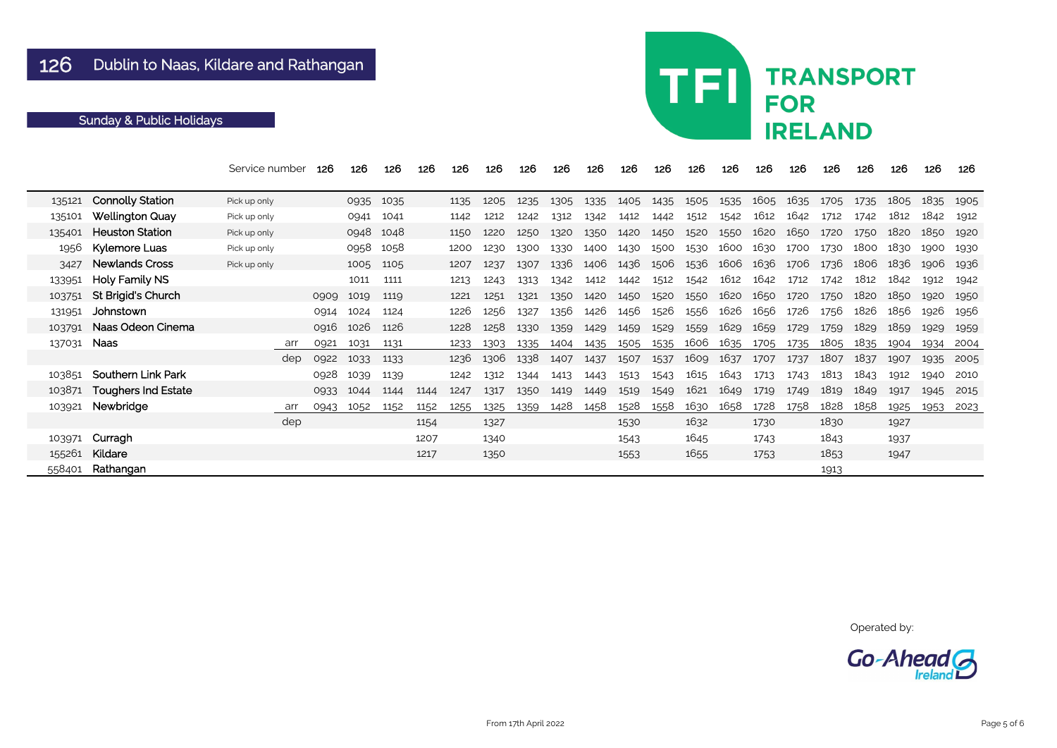|        |                            | Service number | 126         | 126  | 126       | 126  | 126  | 126  | 126  | 126  | 126  | 126  | 126  | 126  | 126  | 126  | 126  | 126  | 126  | 126  | 126  | 126  |
|--------|----------------------------|----------------|-------------|------|-----------|------|------|------|------|------|------|------|------|------|------|------|------|------|------|------|------|------|
| 135121 | <b>Connolly Station</b>    | Pick up only   |             |      | 0935 1035 |      | 1135 | 1205 | 1235 | 1305 | 1335 | 1405 | 1435 | 1505 | 1535 | 1605 | 1635 | 1705 | 1735 | 1805 | 1835 | 1905 |
| 135101 | <b>Wellington Quay</b>     | Pick up only   |             | 0941 | 1041      |      | 1142 | 1212 | 1242 | 1312 | 1342 | 1412 | 1442 | 1512 | 1542 | 1612 | 1642 | 1712 | 1742 | 1812 | 1842 | 1912 |
| 135401 | <b>Heuston Station</b>     | Pick up only   |             | 0948 | 1048      |      | 1150 | 1220 | 1250 | 1320 | 1350 | 1420 | 1450 | 1520 | 1550 | 1620 | 1650 | 1720 | 1750 | 1820 | 1850 | 1920 |
| 1956   | Kylemore Luas              | Pick up only   |             | 0958 | 1058      |      | 1200 | 1230 | 1300 | 1330 | 1400 | 1430 | 1500 | 1530 | 1600 | 1630 | 1700 | 1730 | 1800 | 1830 | 1900 | 1930 |
| 3427   | <b>Newlands Cross</b>      | Pick up only   |             |      | 1005 1105 |      | 1207 | 1237 | 1307 | 1336 | 1406 | 1436 | 1506 | 1536 | 1606 | 1636 | 1706 | 1736 | 1806 | 1836 | 1906 | 1936 |
| 133951 | <b>Holy Family NS</b>      |                |             | 1011 | 1111      |      | 1213 | 1243 | 1313 | 1342 | 1412 | 1442 | 1512 | 1542 | 1612 | 1642 | 1712 | 1742 | 1812 | 1842 | 1912 | 1942 |
| 103751 | <b>St Brigid's Church</b>  |                | 0909        | 1019 | 1119      |      | 1221 | 1251 | 1321 | 1350 | 1420 | 1450 | 1520 | 1550 | 1620 | 1650 | 1720 | 1750 | 1820 | 1850 | 1920 | 1950 |
| 131951 | Johnstown                  |                | 0914        | 1024 | 1124      |      | 1226 | 1256 | 1327 | 1356 | 1426 | 1456 | 1526 | 1556 | 1626 | 1656 | 1726 | 1756 | 1826 | 1856 | 1926 | 1956 |
| 103791 | Naas Odeon Cinema          |                | 0916        | 1026 | 1126      |      | 1228 | 1258 | 1330 | 1359 | 1429 | 1459 | 1529 | 1559 | 1629 | 1659 | 1729 | 1759 | 1829 | 1859 | 1929 | 1959 |
| 137031 | <b>Naas</b>                | arr            | 0921        | 1031 | 1131      |      | 1233 | 1303 | 1335 | 1404 | 1435 | 1505 | 1535 | 1606 | 1635 | 1705 | 1735 | 1805 | 1835 | 1904 | 1934 | 2004 |
|        |                            |                | dep<br>0922 | 1033 | 1133      |      | 1236 | 1306 | 1338 | 1407 | 1437 | 1507 | 1537 | 1609 | 1637 | 1707 | 1737 | 1807 | 1837 | 1907 | 1935 | 2005 |
| 103851 | <b>Southern Link Park</b>  |                | 0928        | 1039 | 1139      |      | 1242 | 1312 | 1344 | 1413 | 1443 | 1513 | 1543 | 1615 | 1643 | 1713 | 1743 | 1813 | 1843 | 1912 | 1940 | 2010 |
| 103871 | <b>Toughers Ind Estate</b> |                | 0933        | 1044 | 1144      | 1144 | 1247 | 1317 | 1350 | 1419 | 1449 | 1519 | 1549 | 1621 | 1649 | 1719 | 1749 | 1819 | 1849 | 1917 | 1945 | 2015 |
|        | 103921 Newbridge           | arr            | 0943        | 1052 | 1152      | 1152 | 1255 | 1325 | 1359 | 1428 | 1458 | 1528 | 1558 | 1630 | 1658 | 1728 | 1758 | 1828 | 1858 | 1925 | 1953 | 2023 |
|        |                            |                | dep         |      |           | 1154 |      | 1327 |      |      |      | 1530 |      | 1632 |      | 1730 |      | 1830 |      | 1927 |      |      |
| 103971 | Curragh                    |                |             |      |           | 1207 |      | 1340 |      |      |      | 1543 |      | 1645 |      | 1743 |      | 1843 |      | 1937 |      |      |
| 155261 | Kildare                    |                |             |      |           | 1217 |      | 1350 |      |      |      | 1553 |      | 1655 |      | 1753 |      | 1853 |      | 1947 |      |      |
| 558401 | Rathangan                  |                |             |      |           |      |      |      |      |      |      |      |      |      |      |      |      | 1913 |      |      |      |      |

## TFI **TRANSPORT FOR IRELAND**

Operated by:

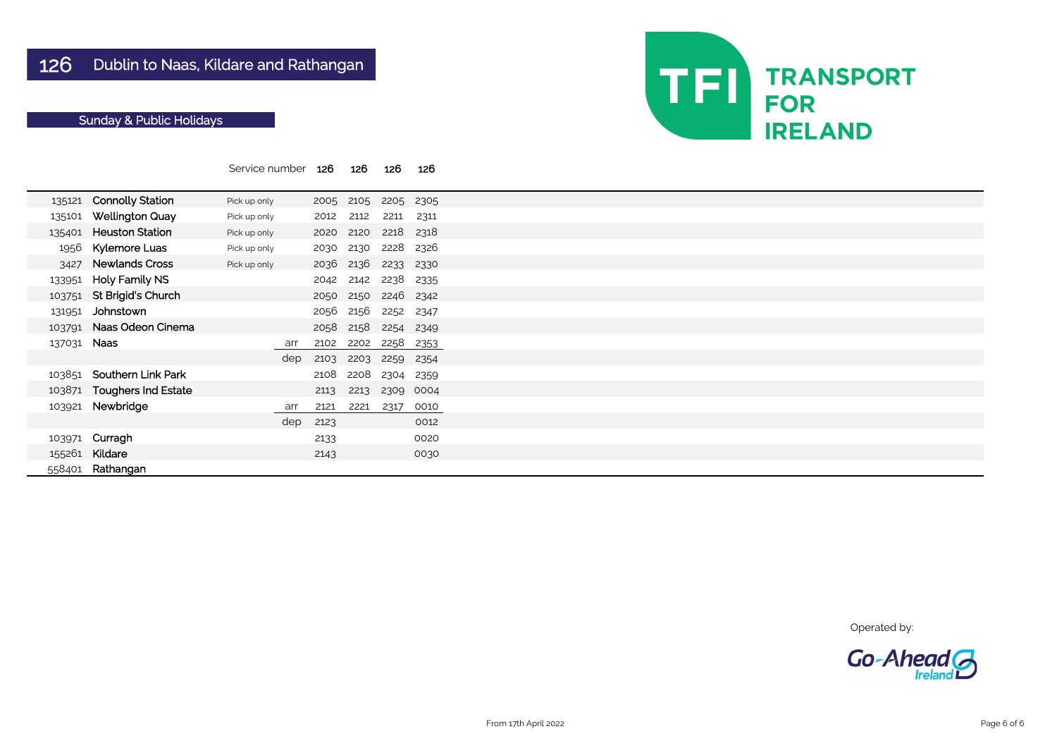|        |                            | Service number |     | 126  | 126  | 126  | 126  |  |  |
|--------|----------------------------|----------------|-----|------|------|------|------|--|--|
| 135121 | <b>Connolly Station</b>    | Pick up only   |     | 2005 | 2105 | 2205 | 2305 |  |  |
| 135101 | <b>Wellington Quay</b>     | Pick up only   |     | 2012 | 2112 | 2211 | 2311 |  |  |
| 135401 | <b>Heuston Station</b>     | Pick up only   |     | 2020 | 2120 | 2218 | 2318 |  |  |
| 1956   | <b>Kylemore Luas</b>       | Pick up only   |     | 2030 | 2130 | 2228 | 2326 |  |  |
| 3427   | <b>Newlands Cross</b>      | Pick up only   |     | 2036 | 2136 | 2233 | 2330 |  |  |
| 133951 | <b>Holy Family NS</b>      |                |     | 2042 | 2142 | 2238 | 2335 |  |  |
| 103751 | <b>St Brigid's Church</b>  |                |     | 2050 | 2150 | 2246 | 2342 |  |  |
| 131951 | Johnstown                  |                |     | 2056 | 2156 | 2252 | 2347 |  |  |
| 103791 | Naas Odeon Cinema          |                |     | 2058 | 2158 | 2254 | 2349 |  |  |
| 137031 | <b>Naas</b>                |                | arr | 2102 | 2202 | 2258 | 2353 |  |  |
|        |                            |                | dep | 2103 | 2203 | 2259 | 2354 |  |  |
| 103851 | <b>Southern Link Park</b>  |                |     | 2108 | 2208 | 2304 | 2359 |  |  |
| 103871 | <b>Toughers Ind Estate</b> |                |     | 2113 | 2213 | 2309 | 0004 |  |  |
| 103921 | Newbridge                  |                | arr | 2121 | 2221 | 2317 | 0010 |  |  |
|        |                            |                | dep | 2123 |      |      | 0012 |  |  |
| 103971 | Curragh                    |                |     | 2133 |      |      | 0020 |  |  |
| 155261 | Kildare                    |                |     | 2143 |      |      | 0030 |  |  |
| 558401 | Rathangan                  |                |     |      |      |      |      |  |  |

Operated by:



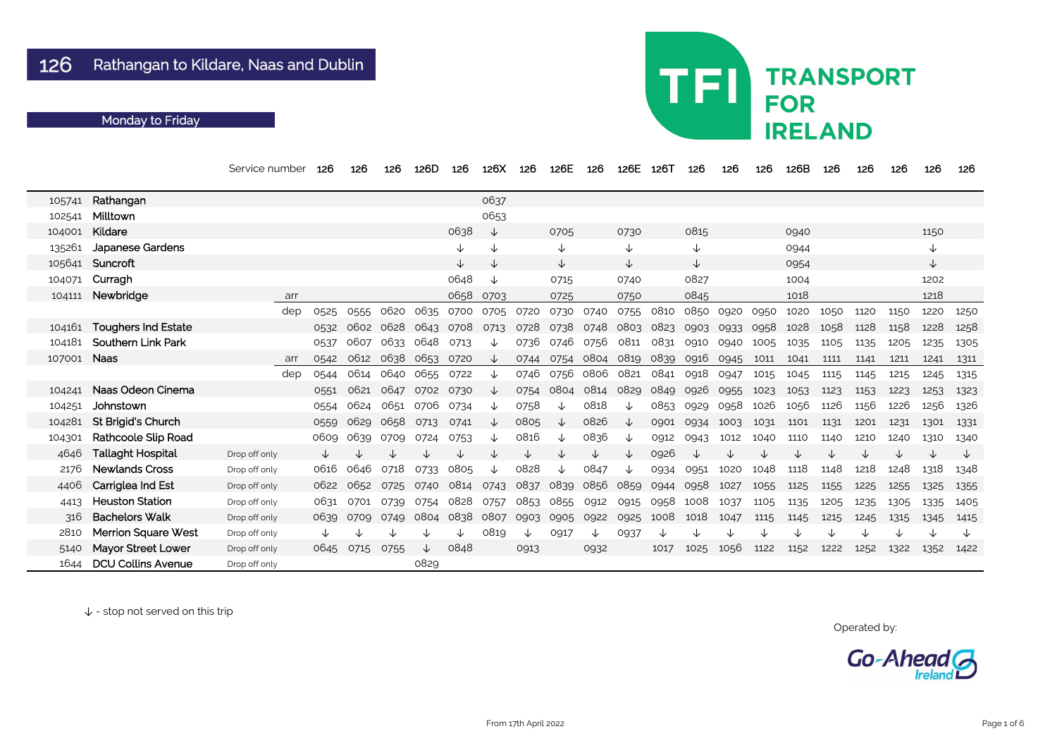|        |                            | Service number | 126  | 126       | 126  | 126D         | 126       | 126X | 126  | 126E                          | 126  | 126E | 126T      | 126          | 126  | 126  | 126B | 126  | 126  | 126  | 126  | 126  |
|--------|----------------------------|----------------|------|-----------|------|--------------|-----------|------|------|-------------------------------|------|------|-----------|--------------|------|------|------|------|------|------|------|------|
| 105741 | Rathangan                  |                |      |           |      |              |           | 0637 |      |                               |      |      |           |              |      |      |      |      |      |      |      |      |
| 102541 | Milltown                   |                |      |           |      |              |           | 0653 |      |                               |      |      |           |              |      |      |      |      |      |      |      |      |
| 104001 | Kildare                    |                |      |           |      |              | 0638      | ↓    |      | 0705                          |      | 0730 |           | 0815         |      |      | 0940 |      |      |      | 1150 |      |
| 135261 | <b>Japanese Gardens</b>    |                |      |           |      |              | ↓         | ↓    |      | ↓                             |      | ↓    |           | $\downarrow$ |      |      | 0944 |      |      |      | ↓    |      |
| 105641 | Suncroft                   |                |      |           |      |              | ↓         | ↓    |      | ↓                             |      | 业    |           | $\downarrow$ |      |      | 0954 |      |      |      | ↓    |      |
| 104071 | Curragh                    |                |      |           |      |              | 0648      | ↓    |      | 0715                          |      | 0740 |           | 0827         |      |      | 1004 |      |      |      | 1202 |      |
| 104111 | Newbridge                  | arr            |      |           |      |              | 0658      | 0703 |      | 0725                          |      | 0750 |           | 0845         |      |      | 1018 |      |      |      | 1218 |      |
|        |                            | dep            | 0525 | 0555      | 0620 | 0635         | 0700      | 0705 | 0720 | 0730                          | 0740 | 0755 | 0810      | 0850         | 0920 | 0950 | 1020 | 1050 | 1120 | 1150 | 1220 | 1250 |
| 104161 | <b>Toughers Ind Estate</b> |                | 0532 | 0602      | 0628 | 0643         | 0708      | 0713 | 0728 | 0738                          | 0748 | 0803 | 0823      | 0903         | 0933 | 0958 | 1028 | 1058 | 1128 | 1158 | 1228 | 1258 |
| 104181 | <b>Southern Link Park</b>  |                | 0537 | 0607      | 0633 | 0648         | 0713      | ◡    | 0736 | 0746                          | 0756 | 0811 | 0831      | 0910         | 0940 | 1005 | 1035 | 1105 | 1135 | 1205 | 1235 | 1305 |
| 107001 | <b>Naas</b>                | arr            | 0542 | 0612      | 0638 | 0653         | 0720      | ∿    | 0744 | 0754                          | 0804 | 0819 | 0839      | 0916         | 0945 | 1011 | 1041 | 1111 | 1141 | 1211 | 1241 | 1311 |
|        |                            | dep            | 0544 | 0614      | 0640 | 0655         | 0722      | ↓    | 0746 | 0756                          | 0806 | 0821 | 0841      | 0918         | 0947 | 1015 | 1045 | 1115 | 1145 | 1215 | 1245 | 1315 |
| 104241 | Naas Odeon Cinema          |                | 0551 | 0621      | 0647 | 0702         | 0730      | ↓    | 0754 | 0804                          | 0814 | 0829 | 0849      | 0926         | 0955 | 1023 | 1053 | 1123 | 1153 | 1223 | 1253 | 1323 |
| 104251 | Johnstown                  |                | 0554 | 0624      | 0651 | 0706         | 0734      | ↓    | 0758 | ↓                             | 0818 | ◡    | 0853      | 0929         | 0958 | 1026 | 1056 | 1126 | 1156 | 1226 | 1256 | 1326 |
| 104281 | <b>St Brigid's Church</b>  |                | 0559 | 0629      | 0658 | 0713         | 0741      |      | 0805 | ↓                             | 0826 | ◡    | 0901      | 0934         | 1003 | 1031 | 1101 | 1131 | 1201 | 1231 | 1301 | 1331 |
| 104301 | Rathcoole Slip Road        |                | 0609 | 0639      | 0709 | 0724         | 0753      |      | 0816 | ◡                             | 0836 | ◡    | 0912      | 0943         | 1012 | 1040 | 1110 | 1140 | 1210 | 1240 | 1310 | 1340 |
| 4646   | <b>Tallaght Hospital</b>   | Drop off only  |      |           |      |              |           |      | ↓    |                               | ↓    |      | 0926      | ↓            |      | ↓    |      |      | ↓    | ◡    | ↓    | ╰┸   |
| 2176   | <b>Newlands Cross</b>      | Drop off only  | 0616 | 0646      | 0718 | 0733         | 0805      | ↓    | 0828 | ↓                             | 0847 | ∿    | 0934      | 0951         | 1020 | 1048 | 1118 | 1148 | 1218 | 1248 | 1318 | 1348 |
| 4406   | Carriglea Ind Est          | Drop off only  | 0622 | 0652      | 0725 | 0740         | 0814      | 0743 | 0837 | 0839                          | 0856 | 0859 | 0944      | 0958         | 1027 | 1055 | 1125 | 1155 | 1225 | 1255 | 1325 | 1355 |
| 4413   | <b>Heuston Station</b>     | Drop off only  | 0631 | 0701      | 0739 | 0754         | 0828      | 0757 |      | 0853 0855 0912                |      |      | 0915 0958 | 1008         | 1037 | 1105 | 1135 | 1205 | 1235 | 1305 | 1335 | 1405 |
| 316    | <b>Bachelors Walk</b>      | Drop off only  | 0639 | 0709      | 0749 |              | 0804 0838 |      |      | 0807 0903 0905 0922 0925 1008 |      |      |           | 1018         | 1047 | 1115 | 1145 | 1215 | 1245 | 1315 | 1345 | 1415 |
| 2810   | <b>Merrion Square West</b> | Drop off only  |      |           |      |              |           | 0819 | ↓    | 0917                          | ↓    | 0937 | ↓         |              |      |      |      |      |      |      |      | ╰    |
| 5140   | <b>Mayor Street Lower</b>  | Drop off only  | 0645 | 0715 0755 |      | $\downarrow$ | 0848      |      | 0913 |                               | 0932 |      | 1017      | 1025         | 1056 | 1122 | 1152 | 1222 | 1252 | 1322 | 1352 | 1422 |
| 1644   | <b>DCU Collins Avenue</b>  | Drop off only  |      |           |      | 0829         |           |      |      |                               |      |      |           |              |      |      |      |      |      |      |      |      |

## TFI **TRANSPORT FOR IRELAND**

Operated by:

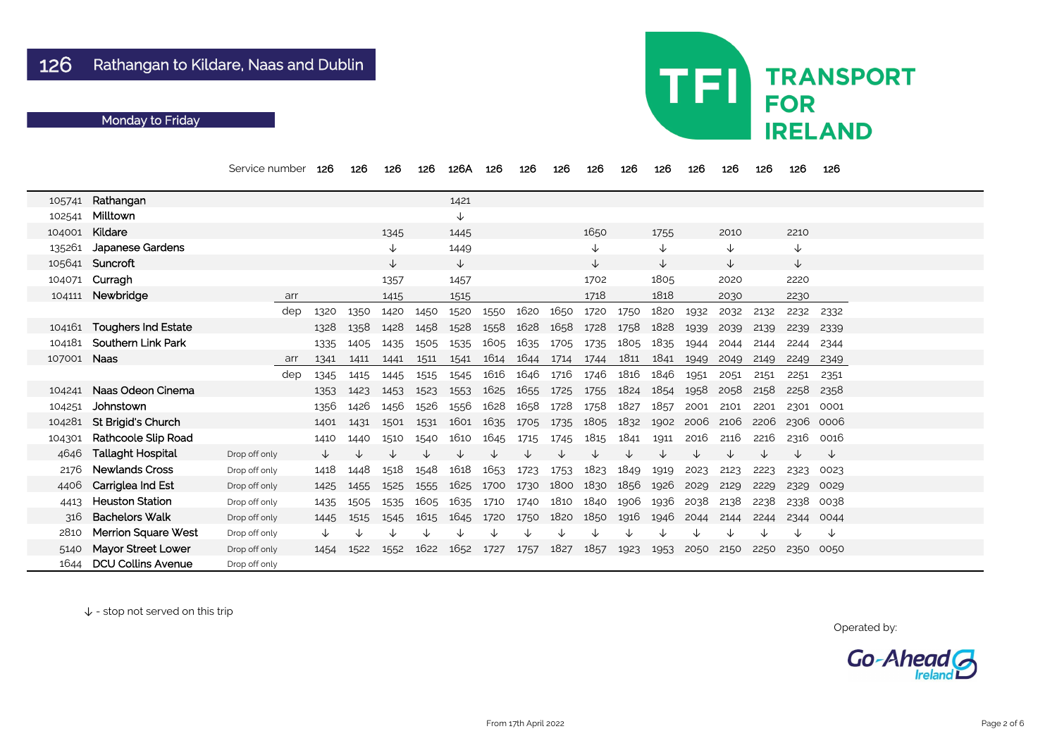|        |                            | Service number | 126  | 126  | 126          | 126  | 126A         | 126  | 126  | 126  | 126            | 126  | 126          | 126  | 126  | 126  | 126          | 126  |  |
|--------|----------------------------|----------------|------|------|--------------|------|--------------|------|------|------|----------------|------|--------------|------|------|------|--------------|------|--|
| 105741 | Rathangan                  |                |      |      |              |      | 1421         |      |      |      |                |      |              |      |      |      |              |      |  |
| 102541 | Milltown                   |                |      |      |              |      | $\downarrow$ |      |      |      |                |      |              |      |      |      |              |      |  |
| 104001 | Kildare                    |                |      |      | 1345         |      | 1445         |      |      |      | 1650           |      | 1755         |      | 2010 |      | 2210         |      |  |
| 135261 | Japanese Gardens           |                |      |      | $\downarrow$ |      | 1449         |      |      |      | $\downarrow$   |      | ↓            |      | V    |      | $\downarrow$ |      |  |
|        | 105641 Suncroft            |                |      |      | ↓            |      | ↓            |      |      |      | $\downarrow$   |      | $\downarrow$ |      | V    |      | $\downarrow$ |      |  |
|        | 104071 Curragh             |                |      |      | 1357         |      | 1457         |      |      |      | 1702           |      | 1805         |      | 2020 |      | 2220         |      |  |
| 104111 | Newbridge                  | arr            |      |      | 1415         |      | 1515         |      |      |      | 1718           |      | 1818         |      | 2030 |      | 2230         |      |  |
|        |                            | dep            | 1320 | 1350 | 1420         | 1450 | 1520         | 1550 | 1620 | 1650 | 1720           | 1750 | 1820         | 1932 | 2032 | 2132 | 2232         | 2332 |  |
|        | 104161 Toughers Ind Estate |                | 1328 | 1358 | 1428         | 1458 | 1528         | 1558 | 1628 | 1658 | 1728           | 1758 | 1828         | 1939 | 2039 | 2139 | 2239         | 2339 |  |
| 104181 | <b>Southern Link Park</b>  |                | 1335 | 1405 | 1435         | 1505 | 1535         | 1605 | 1635 | 1705 | 1735           | 1805 | 1835         | 1944 | 2044 | 2144 | 2244         | 2344 |  |
| 107001 | <b>Naas</b>                | arr            | 1341 | 1411 | 1441         | 1511 | 1541         | 1614 | 1644 | 1714 | 1744           | 1811 | 1841         | 1949 | 2049 | 2149 | 2249         | 2349 |  |
|        |                            | dep            | 1345 | 1415 | 1445         | 1515 | 1545         | 1616 | 1646 | 1716 | 1746           | 1816 | 1846         | 1951 | 2051 | 2151 | 2251         | 2351 |  |
| 104241 | Naas Odeon Cinema          |                | 1353 | 1423 | 1453         | 1523 | 1553         | 1625 | 1655 | 1725 | 1755           | 1824 | 1854         | 1958 | 2058 | 2158 | 2258         | 2358 |  |
| 104251 | Johnstown                  |                | 1356 | 1426 | 1456         | 1526 | 1556         | 1628 | 1658 | 1728 | 1758           | 1827 | 1857         | 2001 | 2101 | 2201 | 2301         | 0001 |  |
| 104281 | St Brigid's Church         |                | 1401 | 1431 | 1501         | 1531 | 1601         | 1635 | 1705 | 1735 | 1805           | 1832 | 1902         | 2006 | 2106 | 2206 | 2306         | 0006 |  |
| 104301 | <b>Rathcoole Slip Road</b> |                | 1410 | 1440 | 1510         | 1540 | 1610         | 1645 | 1715 | 1745 | 1815           | 1841 | 1911         | 2016 | 2116 | 2216 | 2316         | 0016 |  |
| 4646   | <b>Tallaght Hospital</b>   | Drop off only  |      |      |              |      |              |      |      |      |                |      |              |      |      | ◡    | ◡            | ↓    |  |
| 2176   | <b>Newlands Cross</b>      | Drop off only  | 1418 | 1448 | 1518         | 1548 | 1618         | 1653 | 1723 | 1753 | 1823           | 1849 | 1919         | 2023 | 2123 | 2223 | 2323         | 0023 |  |
| 4406   | <b>Carriglea Ind Est</b>   | Drop off only  | 1425 | 1455 | 1525         | 1555 | 1625         | 1700 | 1730 | 1800 | 1830           | 1856 | 1926         | 2029 | 2129 | 2229 | 2329         | 0029 |  |
| 4413   | <b>Heuston Station</b>     | Drop off only  | 1435 | 1505 | 1535         | 1605 | 1635         | 1710 | 1740 | 1810 | 1840 1906      |      | 1936         | 2038 | 2138 | 2238 | 2338         | 0038 |  |
| 316    | <b>Bachelors Walk</b>      | Drop off only  | 1445 | 1515 | 1545         | 1615 | 1645 1720    |      | 1750 |      | 1820 1850 1916 |      | 1946         | 2044 | 2144 | 2244 | 2344         | 0044 |  |
| 2810   | <b>Merrion Square West</b> | Drop off only  |      |      |              |      |              |      |      |      |                |      |              | ↓    |      | ↓    | ↓            | ↓    |  |
| 5140   | <b>Mayor Street Lower</b>  | Drop off only  | 1454 | 1522 | 1552         | 1622 | 1652         | 1727 | 1757 | 1827 | 1857           | 1923 | 1953         | 2050 | 2150 | 2250 | 2350 0050    |      |  |
| 1644   | <b>DCU Collins Avenue</b>  | Drop off only  |      |      |              |      |              |      |      |      |                |      |              |      |      |      |              |      |  |

# **TFI TRANSPORT FOR IRELAND**

Operated by:

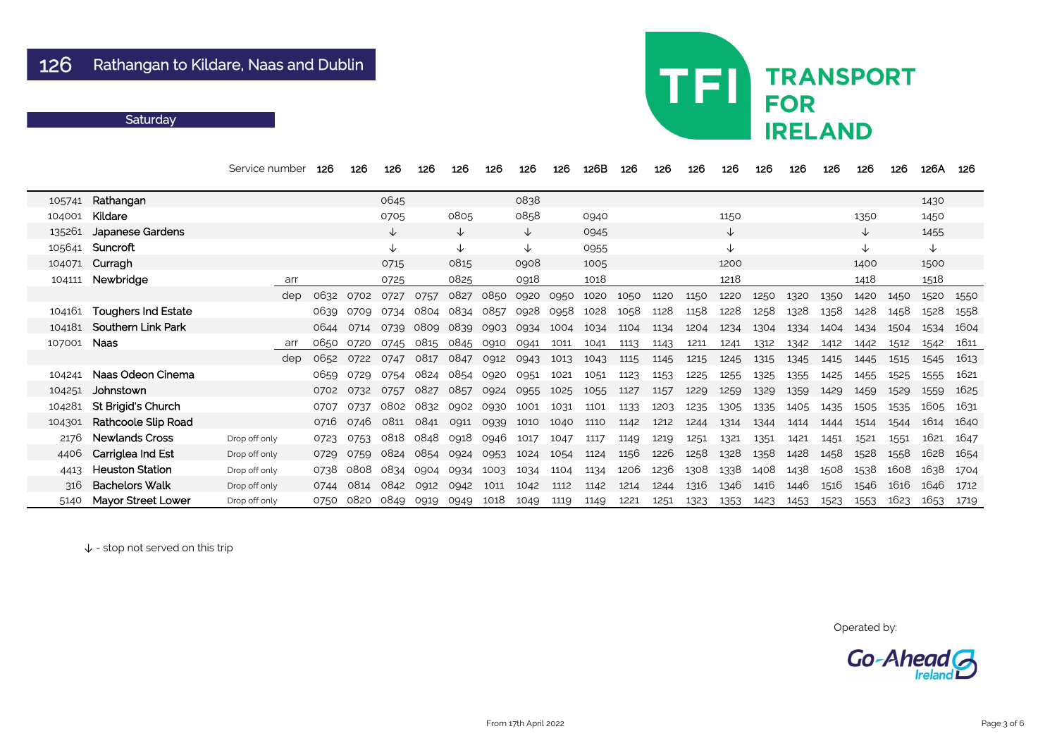|        |                            | Service number | 126  | 126  | 126  | 126  | 126       | 126  | 126          | 126  | 126B | 126  | 126  | 126  | 126          | 126  | 126  | 126  | 126          | 126  | 126A | 126  |
|--------|----------------------------|----------------|------|------|------|------|-----------|------|--------------|------|------|------|------|------|--------------|------|------|------|--------------|------|------|------|
| 105741 | Rathangan                  |                |      |      | 0645 |      |           |      | 0838         |      |      |      |      |      |              |      |      |      |              |      | 1430 |      |
| 104001 | Kildare                    |                |      |      | 0705 |      | 0805      |      | 0858         |      | 0940 |      |      |      | 1150         |      |      |      | 1350         |      | 1450 |      |
| 135261 | <b>Japanese Gardens</b>    |                |      |      | ↓    |      | ↓         |      | $\downarrow$ |      | 0945 |      |      |      | $\downarrow$ |      |      |      | $\downarrow$ |      | 1455 |      |
| 105641 | Suncroft                   |                |      |      | ∿    |      | ∿         |      | ↓            |      | 0955 |      |      |      | ↓            |      |      |      | $\downarrow$ |      | ↓    |      |
| 104071 | Curragh                    |                |      |      | 0715 |      | 0815      |      | 0908         |      | 1005 |      |      |      | 1200         |      |      |      | 1400         |      | 1500 |      |
| 104111 | Newbridge                  | arr            |      |      | 0725 |      | 0825      |      | 0918         |      | 1018 |      |      |      | 1218         |      |      |      | 1418         |      | 1518 |      |
|        |                            | dep            | 0632 | 0702 | 0727 | 0757 | 0827      | 0850 | 0920         | 0950 | 1020 | 1050 | 1120 | 1150 | 1220         | 1250 | 1320 | 1350 | 1420         | 1450 | 1520 | 1550 |
| 104161 | <b>Toughers Ind Estate</b> |                | 0639 | 0709 | 0734 | 0804 | 0834      | 0857 | 0928         | 0958 | 1028 | 1058 | 1128 | 1158 | 1228         | 1258 | 1328 | 1358 | 1428         | 1458 | 1528 | 1558 |
| 104181 | <b>Southern Link Park</b>  |                | 0644 | 0714 | 0739 | 0809 | 0839      | 0903 | 0934         | 1004 | 1034 | 1104 | 1134 | 1204 | 1234         | 1304 | 1334 | 1404 | 1434         | 1504 | 1534 | 1604 |
| 107001 | <b>Naas</b>                | arr            | 0650 | 0720 | 0745 | 0815 | 0845 0910 |      | 0941         | 1011 | 1041 | 1113 | 1143 | 1211 | 1241         | 1312 | 1342 | 1412 | 1442         | 1512 | 1542 | 1611 |
|        |                            | dep            | 0652 | 0722 | 0747 | 0817 | 0847      | 0912 | 0943         | 1013 | 1043 | 1115 | 1145 | 1215 | 1245         | 1315 | 1345 | 1415 | 1445         | 1515 | 1545 | 1613 |
| 104241 | Naas Odeon Cinema          |                | 0659 | 0729 | 0754 | 0824 | 0854      | 0920 | 0951         | 1021 | 1051 | 1123 | 1153 | 1225 | 1255         | 1325 | 1355 | 1425 | 1455         | 1525 | 1555 | 1621 |
| 104251 | Johnstown                  |                | 0702 | 0732 | 0757 | 0827 | 0857      | 0924 | 0955         | 1025 | 1055 | 1127 | 1157 | 1229 | 1259         | 1329 | 1359 | 1429 | 1459         | 1529 | 1559 | 1625 |
| 104281 | <b>St Brigid's Church</b>  |                | 0707 | 0737 | 0802 | 0832 | 0902      | 0930 | 1001         | 1031 | 1101 | 1133 | 1203 | 1235 | 1305         | 1335 | 1405 | 1435 | 1505         | 1535 | 1605 | 1631 |
| 104301 | <b>Rathcoole Slip Road</b> |                | 0716 | 0746 | 0811 | 0841 | 0911      | 0939 | 1010         | 1040 | 1110 | 1142 | 1212 | 1244 | 1314         | 1344 | 1414 | 1444 | 1514         | 1544 | 1614 | 1640 |
| 2176   | <b>Newlands Cross</b>      | Drop off only  | 0723 | 0753 | 0818 | 0848 | 0918      | 0946 | 1017         | 1047 | 1117 | 1149 | 1219 | 1251 | 1321         | 1351 | 1421 | 1451 | 1521         | 1551 | 1621 | 1647 |
| 4406   | Carriglea Ind Est          | Drop off only  | 0729 | 0759 | 0824 | 0854 | 0924      | 0953 | 1024         | 1054 | 1124 | 1156 | 1226 | 1258 | 1328         | 1358 | 1428 | 1458 | 1528         | 1558 | 1628 | 1654 |
| 4413   | <b>Heuston Station</b>     | Drop off only  | 0738 | 0808 | 0834 | 0904 | 0934      | 1003 | 1034         | 1104 | 1134 | 1206 | 1236 | 1308 | 1338         | 1408 | 1438 | 1508 | 1538         | 1608 | 1638 | 1704 |
| 316    | <b>Bachelors Walk</b>      | Drop off only  | 0744 | 0814 | 0842 | 0912 | 0942      | 1011 | 1042         | 1112 | 1142 | 1214 | 1244 | 1316 | 1346         | 1416 | 1446 | 1516 | 1546         | 1616 | 1646 | 1712 |
| 5140   | <b>Mayor Street Lower</b>  | Drop off only  | 0750 | 0820 | 0849 | 0919 | 0949      | 1018 | 1049         | 1119 | 1149 | 1221 | 1251 | 1323 | 1353         | 1423 | 1453 | 1523 | 1553         | 1623 | 1653 | 1719 |

↓ - stop not served on this trip

# **TRANSPORT FOR IRELAND**

TFI

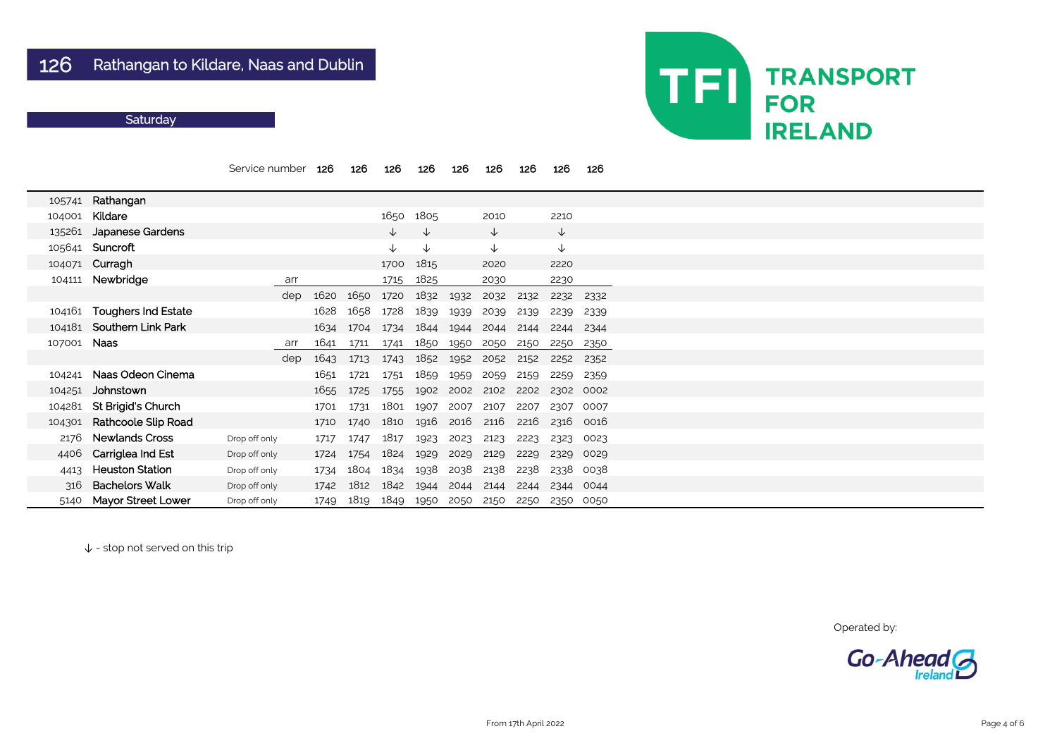|        |                            | Service number |     | 126  | 126  | 126          | 126          | 126  | 126          | 126  | 126          | 126  |
|--------|----------------------------|----------------|-----|------|------|--------------|--------------|------|--------------|------|--------------|------|
| 105741 | Rathangan                  |                |     |      |      |              |              |      |              |      |              |      |
| 104001 | Kildare                    |                |     |      |      | 1650         | 1805         |      | 2010         |      | 2210         |      |
| 135261 | <b>Japanese Gardens</b>    |                |     |      |      | ↓            | $\downarrow$ |      | $\downarrow$ |      | $\downarrow$ |      |
| 105641 | Suncroft                   |                |     |      |      | $\downarrow$ | $\downarrow$ |      | $\downarrow$ |      | $\downarrow$ |      |
| 104071 | Curragh                    |                |     |      |      | 1700         | 1815         |      | 2020         |      | 2220         |      |
| 104111 | Newbridge                  | arr            |     |      |      | 1715         | 1825         |      | 2030         |      | 2230         |      |
|        |                            |                | dep | 1620 | 1650 | 1720         | 1832         | 1932 | 2032         | 2132 | 2232         | 2332 |
| 104161 | <b>Toughers Ind Estate</b> |                |     | 1628 | 1658 | 1728         | 1839         | 1939 | 2039         | 2139 | 2239         | 2339 |
| 104181 | <b>Southern Link Park</b>  |                |     | 1634 | 1704 | 1734         | 1844         | 1944 | 2044         | 2144 | 2244         | 2344 |
| 107001 | <b>Naas</b>                | arr            |     | 1641 | 1711 | 1741         | 1850         | 1950 | 2050         | 2150 | 2250         | 2350 |
|        |                            |                | dep | 1643 | 1713 | 1743         | 1852         | 1952 | 2052         | 2152 | 2252         | 2352 |
| 104241 | Naas Odeon Cinema          |                |     | 1651 | 1721 | 1751         | 1859         | 1959 | 2059         | 2159 | 2259         | 2359 |
| 104251 | Johnstown                  |                |     | 1655 | 1725 | 1755         | 1902         | 2002 | 2102         | 2202 | 2302         | 0002 |
| 104281 | St Brigid's Church         |                |     | 1701 | 1731 | 1801         | 1907         | 2007 | 2107         | 2207 | 2307         | 0007 |
| 104301 | <b>Rathcoole Slip Road</b> |                |     | 1710 | 1740 | 1810         | 1916         | 2016 | 2116         | 2216 | 2316         | 0016 |
| 2176   | <b>Newlands Cross</b>      | Drop off only  |     | 1717 | 1747 | 1817         | 1923         | 2023 | 2123         | 2223 | 2323         | 0023 |
| 4406   | Carriglea Ind Est          | Drop off only  |     | 1724 | 1754 | 1824         | 1929         | 2029 | 2129         | 2229 | 2329         | 0029 |
| 4413   | <b>Heuston Station</b>     | Drop off only  |     | 1734 | 1804 | 1834         | 1938         | 2038 | 2138         | 2238 | 2338         | 0038 |
| 316    | <b>Bachelors Walk</b>      | Drop off only  |     | 1742 | 1812 | 1842         | 1944         | 2044 | 2144         | 2244 | 2344         | 0044 |
| 5140   | <b>Mayor Street Lower</b>  | Drop off only  |     | 1749 | 1819 | 1849         | 1950         | 2050 | 2150         | 2250 | 2350         | 0050 |

↓ - stop not served on this trip



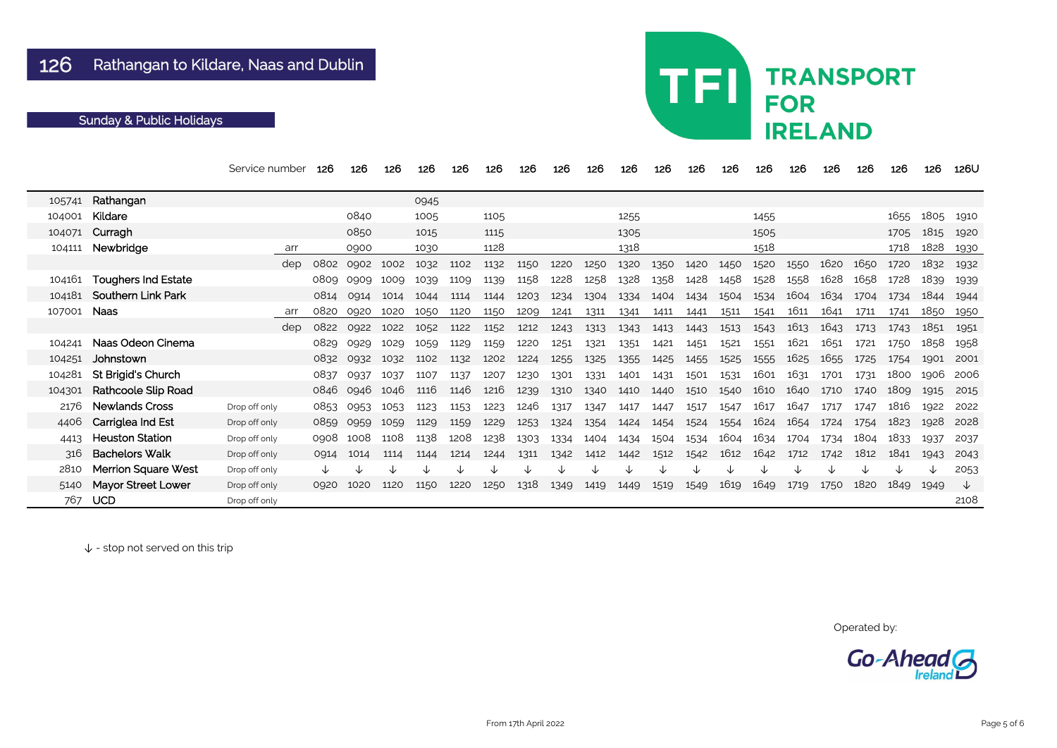|        |                            | Service number | 126  | 126  | 126  | 126  | 126  | 126  | 126  | 126  | 126  | 126  | 126  | 126  | 126  | 126  | 126  | 126  | 126  | 126  | 126  | 126U |
|--------|----------------------------|----------------|------|------|------|------|------|------|------|------|------|------|------|------|------|------|------|------|------|------|------|------|
| 105741 | Rathangan                  |                |      |      |      | 0945 |      |      |      |      |      |      |      |      |      |      |      |      |      |      |      |      |
| 104001 | Kildare                    |                |      | 0840 |      | 1005 |      | 1105 |      |      |      | 1255 |      |      |      | 1455 |      |      |      | 1655 | 1805 | 1910 |
| 104071 | Curragh                    |                |      | 0850 |      | 1015 |      | 1115 |      |      |      | 1305 |      |      |      | 1505 |      |      |      | 1705 | 1815 | 1920 |
| 104111 | Newbridge                  | arr            |      | 0900 |      | 1030 |      | 1128 |      |      |      | 1318 |      |      |      | 1518 |      |      |      | 1718 | 1828 | 1930 |
|        |                            | dep            | 0802 | 0902 | 1002 | 1032 | 1102 | 1132 | 1150 | 1220 | 1250 | 1320 | 1350 | 1420 | 1450 | 1520 | 1550 | 1620 | 1650 | 1720 | 1832 | 1932 |
| 104161 | <b>Toughers Ind Estate</b> |                | 0809 | 0909 | 1009 | 1039 | 1109 | 1139 | 1158 | 1228 | 1258 | 1328 | 1358 | 1428 | 1458 | 1528 | 1558 | 1628 | 1658 | 1728 | 1839 | 1939 |
| 104181 | <b>Southern Link Park</b>  |                | 0814 | 0914 | 1014 | 1044 | 1114 | 1144 | 1203 | 1234 | 1304 | 1334 | 1404 | 1434 | 1504 | 1534 | 1604 | 1634 | 1704 | 1734 | 1844 | 1944 |
| 107001 | <b>Naas</b>                | arr            | 0820 | 0920 | 1020 | 1050 | 1120 | 1150 | 1209 | 1241 | 1311 | 1341 | 1411 | 1441 | 1511 | 1541 | 1611 | 1641 | 1711 | 1741 | 1850 | 1950 |
|        |                            | dep            | 0822 | 0922 | 1022 | 1052 | 1122 | 1152 | 1212 | 1243 | 1313 | 1343 | 1413 | 1443 | 1513 | 1543 | 1613 | 1643 | 1713 | 1743 | 1851 | 1951 |
| 104241 | Naas Odeon Cinema          |                | 0829 | 0929 | 1029 | 1059 | 1129 | 1159 | 1220 | 1251 | 1321 | 1351 | 1421 | 1451 | 1521 | 1551 | 1621 | 1651 | 1721 | 1750 | 1858 | 1958 |
| 104251 | Johnstown                  |                | 0832 | 0932 | 1032 | 1102 | 1132 | 1202 | 1224 | 1255 | 1325 | 1355 | 1425 | 1455 | 1525 | 1555 | 1625 | 1655 | 1725 | 1754 | 1901 | 2001 |
| 104281 | St Brigid's Church         |                | 0837 | 0937 | 1037 | 1107 | 1137 | 1207 | 1230 | 1301 | 1331 | 1401 | 1431 | 1501 | 1531 | 1601 | 1631 | 1701 | 1731 | 1800 | 1906 | 2006 |
| 104301 | <b>Rathcoole Slip Road</b> |                | 0846 | 0946 | 1046 | 1116 | 1146 | 1216 | 1239 | 1310 | 1340 | 1410 | 1440 | 1510 | 1540 | 1610 | 1640 | 1710 | 1740 | 1809 | 1915 | 2015 |
| 2176   | <b>Newlands Cross</b>      | Drop off only  | 0853 | 0953 | 1053 | 1123 | 1153 | 1223 | 1246 | 1317 | 1347 | 1417 | 1447 | 1517 | 1547 | 1617 | 1647 | 1717 | 1747 | 1816 | 1922 | 2022 |
| 4406   | Carriglea Ind Est          | Drop off only  | 0859 | 0959 | 1059 | 1129 | 1159 | 1229 | 1253 | 1324 | 1354 | 1424 | 1454 | 1524 | 1554 | 1624 | 1654 | 1724 | 1754 | 1823 | 1928 | 2028 |
| 4413   | <b>Heuston Station</b>     | Drop off only  | 0908 | 1008 | 1108 | 1138 | 1208 | 1238 | 1303 | 1334 | 1404 | 1434 | 1504 | 1534 | 1604 | 1634 | 1704 | 1734 | 1804 | 1833 | 1937 | 2037 |
| 316    | <b>Bachelors Walk</b>      | Drop off only  | 0914 | 1014 | 1114 | 1144 | 1214 | 1244 | 1311 | 1342 | 1412 | 1442 | 1512 | 1542 | 1612 | 1642 | 1712 | 1742 | 1812 | 1841 | 1943 | 2043 |
| 2810   | <b>Merrion Square West</b> | Drop off only  |      |      |      |      |      | ↓    |      |      |      |      |      |      |      |      |      |      | ◡    |      |      | 2053 |
| 5140   | <b>Mayor Street Lower</b>  | Drop off only  | 0920 | 1020 | 1120 | 1150 | 1220 | 1250 | 1318 | 1349 | 1419 | 1449 | 1519 | 1549 | 1619 | 1649 | 1719 | 1750 | 1820 | 1849 | 1949 | ╰┸   |
| 767    | <b>UCD</b>                 | Drop off only  |      |      |      |      |      |      |      |      |      |      |      |      |      |      |      |      |      |      |      | 2108 |

# **TRANSPORT FOR IRELAND**

TFI

Operated by: